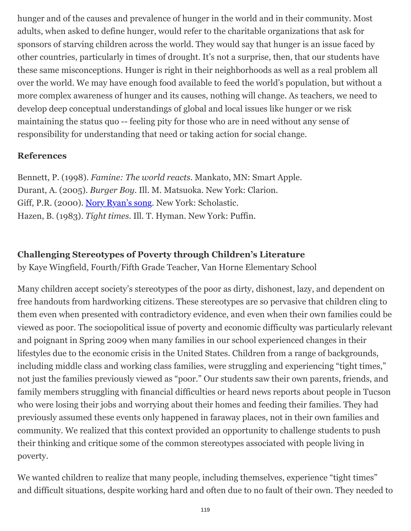hunger and of the causes and prevalence of hunger in the world and in their community. Most adults, when asked to define hunger, would refer to the charitable organizations that ask for sponsors of starving children across the world. They would say that hunger is an issue faced by other countries, particularly in times of drought. It's not a surprise, then, that our students have these same misconceptions. Hunger is right in their neighborhoods as well as a real problem all over the world. We may have enough food available to feed the world's population, but without a more complex awareness of hunger and its causes, nothing will change. As teachers, we need to develop deep conceptual understandings of global and local issues like hunger or we risk maintaining the status quo -- feeling pity for those who are in need without any sense of responsibility for understanding that need or taking action for social change.

## **References**

Bennett, P. (1998). *Famine: The world reacts*. Mankato, MN: Smart Apple. Durant, A. (2005). *Burger Boy*. Ill. M. Matsuoka. New York: Clarion. Giff, P.R. (2000). [Nory Ryan's song.](http://wowlit.org/catalog/9780439444354/) New York: Scholastic. Hazen, B. (1983). *Tight times*. Ill. T. Hyman. New York: Puffin.

## **Challenging Stereotypes of Poverty through Children's Literature**

by Kaye Wingfield, Fourth/Fifth Grade Teacher, Van Horne Elementary School

Many children accept society's stereotypes of the poor as dirty, dishonest, lazy, and dependent on free handouts from hardworking citizens. These stereotypes are so pervasive that children cling to them even when presented with contradictory evidence, and even when their own families could be viewed as poor. The sociopolitical issue of poverty and economic difficulty was particularly relevant and poignant in Spring 2009 when many families in our school experienced changes in their lifestyles due to the economic crisis in the United States. Children from a range of backgrounds, including middle class and working class families, were struggling and experiencing "tight times," not just the families previously viewed as "poor." Our students saw their own parents, friends, and family members struggling with financial difficulties or heard news reports about people in Tucson who were losing their jobs and worrying about their homes and feeding their families. They had previously assumed these events only happened in faraway places, not in their own families and community. We realized that this context provided an opportunity to challenge students to push their thinking and critique some of the common stereotypes associated with people living in poverty.

We wanted children to realize that many people, including themselves, experience "tight times" and difficult situations, despite working hard and often due to no fault of their own. They needed to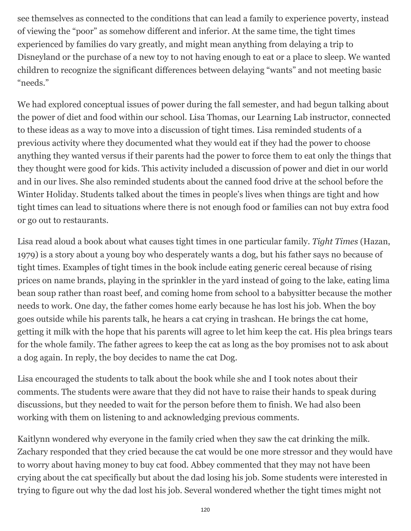see themselves as connected to the conditions that can lead a family to experience poverty, instead of viewing the "poor" as somehow different and inferior. At the same time, the tight times experienced by families do vary greatly, and might mean anything from delaying a trip to Disneyland or the purchase of a new toy to not having enough to eat or a place to sleep. We wanted children to recognize the significant differences between delaying "wants" and not meeting basic "needs."

We had explored conceptual issues of power during the fall semester, and had begun talking about the power of diet and food within our school. Lisa Thomas, our Learning Lab instructor, connected to these ideas as a way to move into a discussion of tight times. Lisa reminded students of a previous activity where they documented what they would eat if they had the power to choose anything they wanted versus if their parents had the power to force them to eat only the things that they thought were good for kids. This activity included a discussion of power and diet in our world and in our lives. She also reminded students about the canned food drive at the school before the Winter Holiday. Students talked about the times in people's lives when things are tight and how tight times can lead to situations where there is not enough food or families can not buy extra food or go out to restaurants.

Lisa read aloud a book about what causes tight times in one particular family. *Tight Times* (Hazan, 1979) is a story about a young boy who desperately wants a dog, but his father says no because of tight times. Examples of tight times in the book include eating generic cereal because of rising prices on name brands, playing in the sprinkler in the yard instead of going to the lake, eating lima bean soup rather than roast beef, and coming home from school to a babysitter because the mother needs to work. One day, the father comes home early because he has lost his job. When the boy goes outside while his parents talk, he hears a cat crying in trashcan. He brings the cat home, getting it milk with the hope that his parents will agree to let him keep the cat. His plea brings tears for the whole family. The father agrees to keep the cat as long as the boy promises not to ask about a dog again. In reply, the boy decides to name the cat Dog.

Lisa encouraged the students to talk about the book while she and I took notes about their comments. The students were aware that they did not have to raise their hands to speak during discussions, but they needed to wait for the person before them to finish. We had also been working with them on listening to and acknowledging previous comments.

Kaitlynn wondered why everyone in the family cried when they saw the cat drinking the milk. Zachary responded that they cried because the cat would be one more stressor and they would have to worry about having money to buy cat food. Abbey commented that they may not have been crying about the cat specifically but about the dad losing his job. Some students were interested in trying to figure out why the dad lost his job. Several wondered whether the tight times might not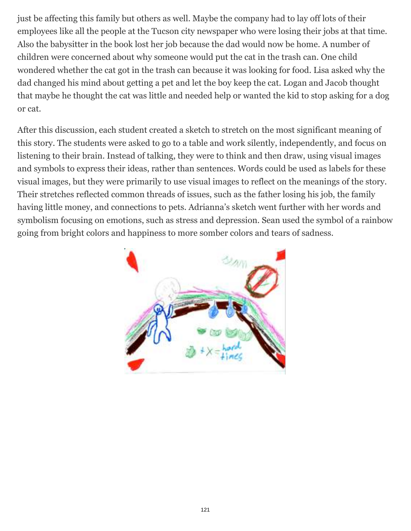just be affecting this family but others as well. Maybe the company had to lay off lots of their employees like all the people at the Tucson city newspaper who were losing their jobs at that time. Also the babysitter in the book lost her job because the dad would now be home. A number of children were concerned about why someone would put the cat in the trash can. One child wondered whether the cat got in the trash can because it was looking for food. Lisa asked why the dad changed his mind about getting a pet and let the boy keep the cat. Logan and Jacob thought that maybe he thought the cat was little and needed help or wanted the kid to stop asking for a dog or cat.

After this discussion, each student created a sketch to stretch on the most significant meaning of this story. The students were asked to go to a table and work silently, independently, and focus on listening to their brain. Instead of talking, they were to think and then draw, using visual images and symbols to express their ideas, rather than sentences. Words could be used as labels for these visual images, but they were primarily to use visual images to reflect on the meanings of the story. Their stretches reflected common threads of issues, such as the father losing his job, the family having little money, and connections to pets. Adrianna's sketch went further with her words and symbolism focusing on emotions, such as stress and depression. Sean used the symbol of a rainbow going from bright colors and happiness to more somber colors and tears of sadness.

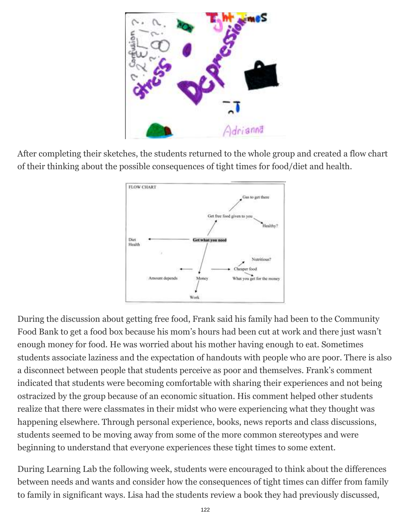

After completing their sketches, the students returned to the whole group and created a flow chart of their thinking about the possible consequences of tight times for food/diet and health.



During the discussion about getting free food, Frank said his family had been to the Community Food Bank to get a food box because his mom's hours had been cut at work and there just wasn't enough money for food. He was worried about his mother having enough to eat. Sometimes students associate laziness and the expectation of handouts with people who are poor. There is also a disconnect between people that students perceive as poor and themselves. Frank's comment indicated that students were becoming comfortable with sharing their experiences and not being ostracized by the group because of an economic situation. His comment helped other students realize that there were classmates in their midst who were experiencing what they thought was happening elsewhere. Through personal experience, books, news reports and class discussions, students seemed to be moving away from some of the more common stereotypes and were beginning to understand that everyone experiences these tight times to some extent.

During Learning Lab the following week, students were encouraged to think about the differences between needs and wants and consider how the consequences of tight times can differ from family to family in significant ways. Lisa had the students review a book they had previously discussed,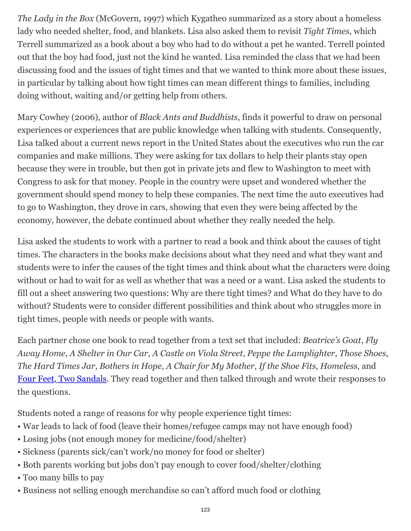*The Lady in the Box* (McGovern, 1997) which Kygatheo summarized as a story about a homeless lady who needed shelter, food, and blankets. Lisa also asked them to revisit *Tight Times*, which Terrell summarized as a book about a boy who had to do without a pet he wanted. Terrell pointed out that the boy had food, just not the kind he wanted. Lisa reminded the class that we had been discussing food and the issues of tight times and that we wanted to think more about these issues, in particular by talking about how tight times can mean different things to families, including doing without, waiting and/or getting help from others.

Mary Cowhey (2006), author of *Black Ants and Buddhists*, finds it powerful to draw on personal experiences or experiences that are public knowledge when talking with students. Consequently, Lisa talked about a current news report in the United States about the executives who run the car companies and make millions. They were asking for tax dollars to help their plants stay open because they were in trouble, but then got in private jets and flew to Washington to meet with Congress to ask for that money. People in the country were upset and wondered whether the government should spend money to help these companies. The next time the auto executives had to go to Washington, they drove in cars, showing that even they were being affected by the economy, however, the debate continued about whether they really needed the help.

Lisa asked the students to work with a partner to read a book and think about the causes of tight times. The characters in the books make decisions about what they need and what they want and students were to infer the causes of the tight times and think about what the characters were doing without or had to wait for as well as whether that was a need or a want. Lisa asked the students to fill out a sheet answering two questions: Why are there tight times? and What do they have to do without? Students were to consider different possibilities and think about who struggles more in tight times, people with needs or people with wants.

Each partner chose one book to read together from a text set that included: *Beatrice's Goat*, *Fly Away Home*, *A Shelter in Our Car*, *A Castle on Viola Street*, *Peppe the Lamplighter*, *Those Shoes*, *The Hard Times Jar*, *Bothers in Hope*, *A Chair for My Mother*, *If the Shoe Fits*, *Homeless*, and [Four Feet, Two Sandals.](http://wowlit.org/catalog/0802852963/) They read together and then talked through and wrote their responses to the questions.

Students noted a range of reasons for why people experience tight times:

- War leads to lack of food (leave their homes/refugee camps may not have enough food)
- Losing jobs (not enough money for medicine/food/shelter)
- Sickness (parents sick/can't work/no money for food or shelter)
- Both parents working but jobs don't pay enough to cover food/shelter/clothing
- Too many bills to pay
- Business not selling enough merchandise so can't afford much food or clothing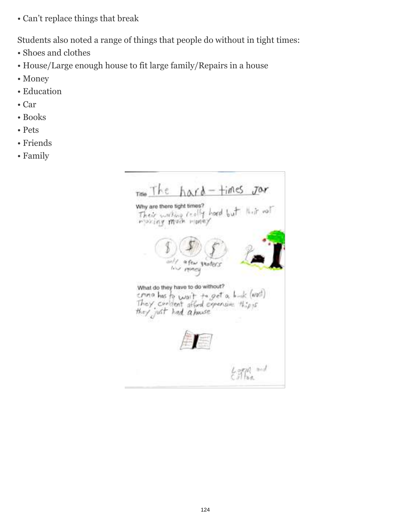• Can't replace things that break

Students also noted a range of things that people do without in tight times:

- Shoes and clothes
- House/Large enough house to fit large family/Repairs in a house
- Money
- Education
- Car
- Books
- Pets
- Friends
- Family

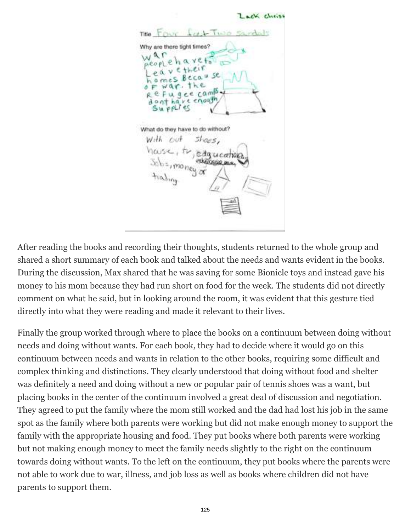Lack choise  $F_{\text{DUV}}$   $I_{\text{V}}$   $F_{\text{W}}$ Titler Why are there tight times?  $y \in 4$  $218$  $eca$ Fugee camp enough ve What do they have to do without? With out dqueation **United mr.** 

After reading the books and recording their thoughts, students returned to the whole group and shared a short summary of each book and talked about the needs and wants evident in the books. During the discussion, Max shared that he was saving for some Bionicle toys and instead gave his money to his mom because they had run short on food for the week. The students did not directly comment on what he said, but in looking around the room, it was evident that this gesture tied directly into what they were reading and made it relevant to their lives.

Finally the group worked through where to place the books on a continuum between doing without needs and doing without wants. For each book, they had to decide where it would go on this continuum between needs and wants in relation to the other books, requiring some difficult and complex thinking and distinctions. They clearly understood that doing without food and shelter was definitely a need and doing without a new or popular pair of tennis shoes was a want, but placing books in the center of the continuum involved a great deal of discussion and negotiation. They agreed to put the family where the mom still worked and the dad had lost his job in the same spot as the family where both parents were working but did not make enough money to support the family with the appropriate housing and food. They put books where both parents were working but not making enough money to meet the family needs slightly to the right on the continuum towards doing without wants. To the left on the continuum, they put books where the parents were not able to work due to war, illness, and job loss as well as books where children did not have parents to support them.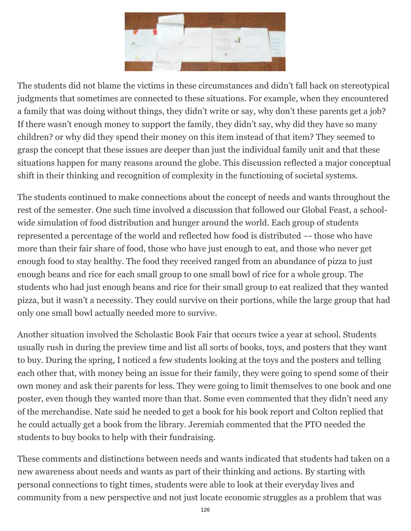

The students did not blame the victims in these circumstances and didn't fall back on stereotypical judgments that sometimes are connected to these situations. For example, when they encountered a family that was doing without things, they didn't write or say, why don't these parents get a job? If there wasn't enough money to support the family, they didn't say, why did they have so many children? or why did they spend their money on this item instead of that item? They seemed to grasp the concept that these issues are deeper than just the individual family unit and that these situations happen for many reasons around the globe. This discussion reflected a major conceptual shift in their thinking and recognition of complexity in the functioning of societal systems.

The students continued to make connections about the concept of needs and wants throughout the rest of the semester. One such time involved a discussion that followed our Global Feast, a schoolwide simulation of food distribution and hunger around the world. Each group of students represented a percentage of the world and reflected how food is distributed –- those who have more than their fair share of food, those who have just enough to eat, and those who never get enough food to stay healthy. The food they received ranged from an abundance of pizza to just enough beans and rice for each small group to one small bowl of rice for a whole group. The students who had just enough beans and rice for their small group to eat realized that they wanted pizza, but it wasn't a necessity. They could survive on their portions, while the large group that had only one small bowl actually needed more to survive.

Another situation involved the Scholastic Book Fair that occurs twice a year at school. Students usually rush in during the preview time and list all sorts of books, toys, and posters that they want to buy. During the spring, I noticed a few students looking at the toys and the posters and telling each other that, with money being an issue for their family, they were going to spend some of their own money and ask their parents for less. They were going to limit themselves to one book and one poster, even though they wanted more than that. Some even commented that they didn't need any of the merchandise. Nate said he needed to get a book for his book report and Colton replied that he could actually get a book from the library. Jeremiah commented that the PTO needed the students to buy books to help with their fundraising.

These comments and distinctions between needs and wants indicated that students had taken on a new awareness about needs and wants as part of their thinking and actions. By starting with personal connections to tight times, students were able to look at their everyday lives and community from a new perspective and not just locate economic struggles as a problem that was